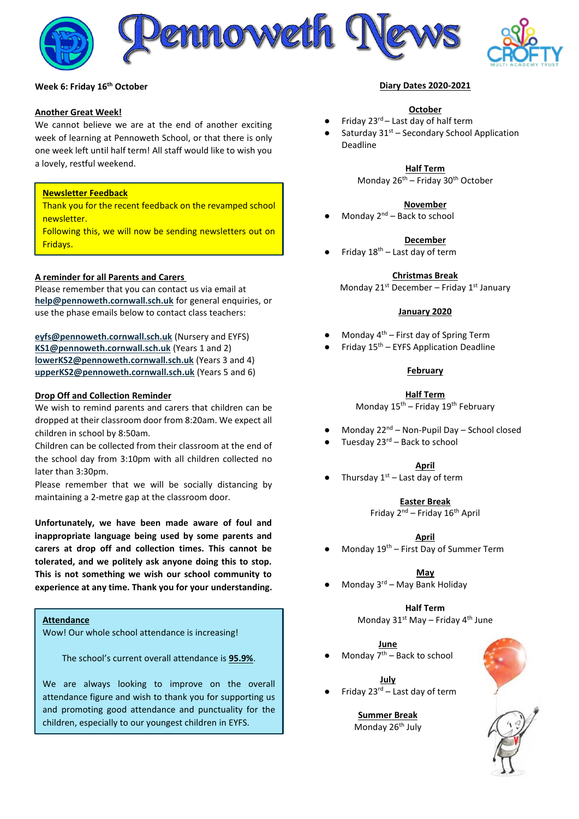



# **Week 6: Friday 16 th October**

#### **Another Great Week!**

We cannot believe we are at the end of another exciting week of learning at Pennoweth School, or that there is only one week left until half term! All staff would like to wish you a lovely, restful weekend.

### **Newsletter Feedback**

Thank you for the recent feedback on the revamped school newsletter.

Following this, we will now be sending newsletters out on Fridays.

### **A reminder for all Parents and Carers**

Please remember that you can contact us via email at **[help@pennoweth.cornwall.sch.uk](mailto:help@pennoweth.cornwall.sch.uk)** for general enquiries, or use the phase emails below to contact class teachers:

**[eyfs@pennoweth.cornwall.sch.uk](mailto:eyfs@pennoweth.cornwall.sch.uk)** (Nursery and EYFS) **[KS1@pennoweth.cornwall.sch.uk](mailto:KS1@pennoweth.cornwall.sch.uk)** (Years 1 and 2) **[lowerKS2@pennoweth.cornwall.sch.uk](mailto:lowerKS2@pennoweth.cornwall.sch.uk)** (Years 3 and 4) **[upperKS2@pennoweth.cornwall.sch.uk](mailto:upperKS2@pennoweth.cornwall.sch.uk)** (Years 5 and 6)

#### **Drop Off and Collection Reminder**

We wish to remind parents and carers that children can be dropped at their classroom door from 8:20am. We expect all children in school by 8:50am.

Children can be collected from their classroom at the end of the school day from 3:10pm with all children collected no later than 3:30pm.

Please remember that we will be socially distancing by maintaining a 2-metre gap at the classroom door.

**Unfortunately, we have been made aware of foul and inappropriate language being used by some parents and carers at drop off and collection times. This cannot be tolerated, and we politely ask anyone doing this to stop. This is not something we wish our school community to experience at any time. Thank you for your understanding.** 

# **Attendance**

Wow! Our whole school attendance is increasing!

The school's current overall attendance is **95.9%**.

We are always looking to improve on the overall attendance figure and wish to thank you for supporting us and promoting good attendance and punctuality for the children, especially to our youngest children in EYFS.

#### **Diary Dates 2020-2021**

#### **October**

- Friday  $23^{rd}$  Last day of half term
- Saturday  $31<sup>st</sup>$  Secondary School Application Deadline

**Half Term** Monday 26th – Friday 30th October

#### **November**

Monday  $2^{nd}$  – Back to school

#### **December**

Friday  $18^{th}$  – Last day of term

**Christmas Break**

Monday  $21^{st}$  December – Friday  $1^{st}$  January

#### **January 2020**

- Monday  $4<sup>th</sup>$  First day of Spring Term
- Friday  $15<sup>th</sup>$  EYFS Application Deadline

### **February**

#### **Half Term**

Monday  $15^{th}$  – Friday  $19^{th}$  February

- Monday  $22^{nd}$  Non-Pupil Day School closed
- Tuesday  $23^{rd}$  Back to school

#### **April**

Thursday  $1<sup>st</sup>$  – Last day of term

#### **Easter Break**

Friday  $2^{nd}$  – Friday  $16^{th}$  April

#### **April**

Monday  $19^{th}$  – First Day of Summer Term

#### **May**

Monday  $3^{rd}$  – May Bank Holiday

#### **Half Term**

Monday 31<sup>st</sup> May – Friday 4<sup>th</sup> June

#### **June**

Monday  $7<sup>th</sup>$  – Back to school

#### **July**

Friday 23 $^{rd}$  – Last day of term

**Summer Break** Monday 26<sup>th</sup> July

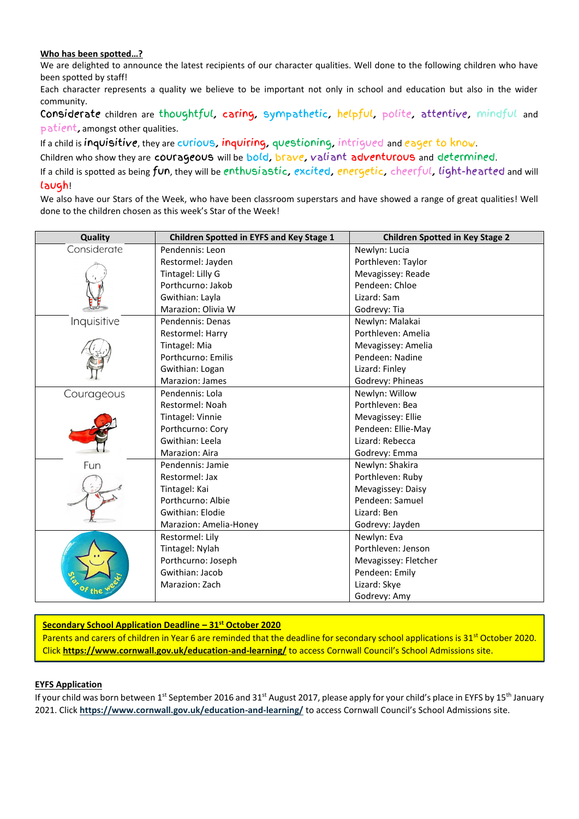# **Who has been spotted…?**

We are delighted to announce the latest recipients of our character qualities. Well done to the following children who have been spotted by staff!

Each character represents a quality we believe to be important not only in school and education but also in the wider community.

Considerate children are thoughtful, caring, sympathetic, helpful, polite, attentive, mindful and patient, amongst other qualities.

If a child is inquisitive, they are curious, inquiring, questioning, intrigued and eager to know.

Children who show they are courageous will be bold, brave, valiant adventurous and determined.

If a child is spotted as being fun, they will be enthusiastic, excited, energetic, cheerful, light-hearted and will laugh!

We also have our Stars of the Week, who have been classroom superstars and have showed a range of great qualities! Well done to the children chosen as this week's Star of the Week!

| Quality     | <b>Children Spotted in EYFS and Key Stage 1</b> | <b>Children Spotted in Key Stage 2</b> |
|-------------|-------------------------------------------------|----------------------------------------|
| Considerate | Pendennis: Leon                                 | Newlyn: Lucia                          |
|             | Restormel: Jayden                               | Porthleven: Taylor                     |
|             | Tintagel: Lilly G                               | Mevagissey: Reade                      |
|             | Porthcurno: Jakob                               | Pendeen: Chloe                         |
|             | Gwithian: Layla                                 | Lizard: Sam                            |
|             | Marazion: Olivia W                              | Godrevy: Tia                           |
| Inquisitive | Pendennis: Denas                                | Newlyn: Malakai                        |
|             | Restormel: Harry                                | Porthleven: Amelia                     |
|             | Tintagel: Mia                                   | Mevagissey: Amelia                     |
|             | Porthcurno: Emilis                              | Pendeen: Nadine                        |
|             | Gwithian: Logan                                 | Lizard: Finley                         |
|             | Marazion: James                                 | Godrevy: Phineas                       |
| Courageous  | Pendennis: Lola                                 | Newlyn: Willow                         |
|             | Restormel: Noah                                 | Porthleven: Bea                        |
|             | Tintagel: Vinnie                                | Mevagissey: Ellie                      |
|             | Porthcurno: Cory                                | Pendeen: Ellie-May                     |
|             | Gwithian: Leela                                 | Lizard: Rebecca                        |
|             | Marazion: Aira                                  | Godrevy: Emma                          |
| Fun         | Pendennis: Jamie                                | Newlyn: Shakira                        |
|             | Restormel: Jax                                  | Porthleven: Ruby                       |
|             | Tintagel: Kai                                   | Mevagissey: Daisy                      |
|             | Porthcurno: Albie                               | Pendeen: Samuel                        |
|             | Gwithian: Elodie                                | Lizard: Ben                            |
|             | Marazion: Amelia-Honey                          | Godrevy: Jayden                        |
|             | Restormel: Lily                                 | Newlyn: Eva                            |
|             | Tintagel: Nylah                                 | Porthleven: Jenson                     |
|             | Porthcurno: Joseph                              | Mevagissey: Fletcher                   |
|             | Gwithian: Jacob                                 | Pendeen: Emily                         |
|             | Marazion: Zach                                  | Lizard: Skye                           |
|             |                                                 | Godrevy: Amy                           |

# **Secondary School Application Deadline – 31st October 2020**

Parents and carers of children in Year 6 are reminded that the deadline for secondary school applications is 31<sup>st</sup> October 2020. Click **<https://www.cornwall.gov.uk/education-and-learning/>** to access Cornwall Council's School Admissions site.

### **EYFS Application**

If your child was born between 1<sup>st</sup> September 2016 and 31<sup>st</sup> August 2017, please apply for your child's place in EYFS by 15<sup>th</sup> January 2021. Click **<https://www.cornwall.gov.uk/education-and-learning/>** to access Cornwall Council's School Admissions site.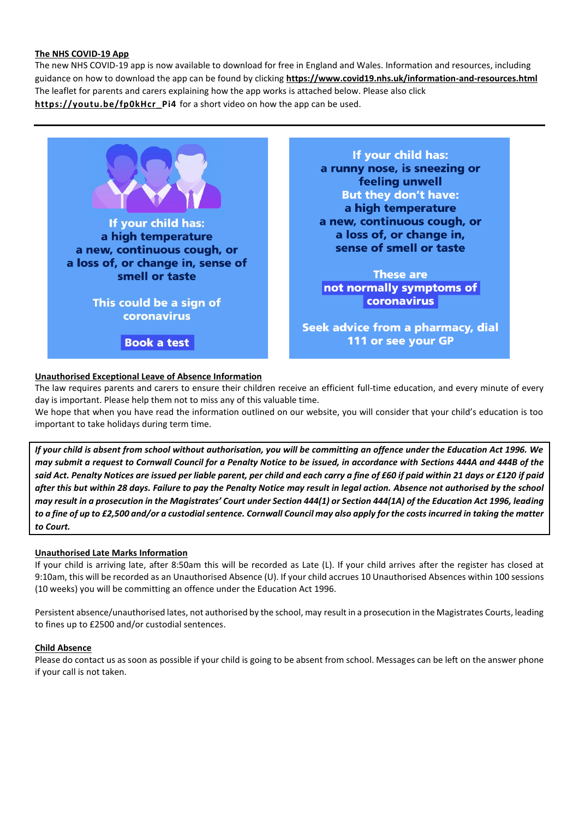### **The NHS COVID-19 App**

The new NHS COVID-19 app is now available to download for free in England and Wales. Information and resources, including guidance on how to download the app can be found by clicking **<https://www.covid19.nhs.uk/information-and-resources.html>** The leaflet for parents and carers explaining how the app works is attached below. Please also click **[https://youtu.be/fp0kHcr\\_Pi4](https://youtu.be/fp0kHcr_Pi4)** for a short video on how the app can be used.

If your child has: a high temperature a new, continuous cough, or a loss of, or change in, sense of smell or taste This could be a sign of coronavirus

**Book a test** 

If your child has: a runny nose, is sneezing or feeling unwell **But they don't have:** a high temperature a new, continuous cough, or a loss of, or change in, sense of smell or taste

**These are** not normally symptoms of coronavirus

Seek advice from a pharmacy, dial 111 or see your GP

# **Unauthorised Exceptional Leave of Absence Information**

The law requires parents and carers to ensure their children receive an efficient full-time education, and every minute of every day is important. Please help them not to miss any of this valuable time.

We hope that when you have read the information outlined on our website, you will consider that your child's education is too important to take holidays during term time.

*If your child is absent from school without authorisation, you will be committing an offence under the Education Act 1996. We may submit a request to Cornwall Council for a Penalty Notice to be issued, in accordance with Sections 444A and 444B of the said Act. Penalty Notices are issued per liable parent, per child and each carry a fine of £60 if paid within 21 days or £120 if paid after this but within 28 days. Failure to pay the Penalty Notice may result in legal action. Absence not authorised by the school may result in a prosecution in the Magistrates' Court under Section 444(1) or Section 444(1A) of the Education Act 1996, leading to a fine of up to £2,500 and/or a custodial sentence. Cornwall Council may also apply for the costs incurred in taking the matter to Court.*

# **Unauthorised Late Marks Information**

If your child is arriving late, after 8:50am this will be recorded as Late (L). If your child arrives after the register has closed at 9:10am, this will be recorded as an Unauthorised Absence (U). If your child accrues 10 Unauthorised Absences within 100 sessions (10 weeks) you will be committing an offence under the Education Act 1996.

Persistent absence/unauthorised lates, not authorised by the school, may result in a prosecution in the Magistrates Courts, leading to fines up to £2500 and/or custodial sentences.

### **Child Absence**

Please do contact us as soon as possible if your child is going to be absent from school. Messages can be left on the answer phone if your call is not taken.